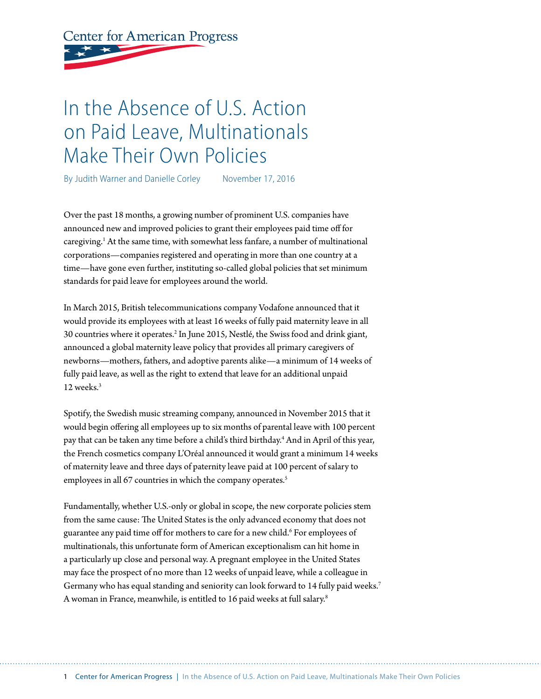# **Center for American Progress**

## In the Absence of U.S. Action on Paid Leave, Multinationals Make Their Own Policies

By Judith Warner and Danielle Corley November 17, 2016

Over the past 18 months, a growing number of prominent U.S. companies have announced new and improved policies to grant their employees paid time off for caregiving.<sup>1</sup> At the same time, with somewhat less fanfare, a number of multinational corporations—companies registered and operating in more than one country at a time—have gone even further, instituting so-called global policies that set minimum standards for paid leave for employees around the world.

In March 2015, British telecommunications company Vodafone announced that it would provide its employees with at least 16 weeks of fully paid maternity leave in all 30 countries where it operates.2 In June 2015, Nestlé, the Swiss food and drink giant, announced a global maternity leave policy that provides all primary caregivers of newborns—mothers, fathers, and adoptive parents alike—a minimum of 14 weeks of fully paid leave, as well as the right to extend that leave for an additional unpaid 12 weeks.<sup>3</sup>

Spotify, the Swedish music streaming company, announced in November 2015 that it would begin offering all employees up to six months of parental leave with 100 percent pay that can be taken any time before a child's third birthday.4 And in April of this year, the French cosmetics company L'Oréal announced it would grant a minimum 14 weeks of maternity leave and three days of paternity leave paid at 100 percent of salary to employees in all 67 countries in which the company operates.<sup>5</sup>

Fundamentally, whether U.S.-only or global in scope, the new corporate policies stem from the same cause: The United States is the only advanced economy that does not guarantee any paid time off for mothers to care for a new child.<sup>6</sup> For employees of multinationals, this unfortunate form of American exceptionalism can hit home in a particularly up close and personal way. A pregnant employee in the United States may face the prospect of no more than 12 weeks of unpaid leave, while a colleague in Germany who has equal standing and seniority can look forward to 14 fully paid weeks.7 A woman in France, meanwhile, is entitled to 16 paid weeks at full salary.8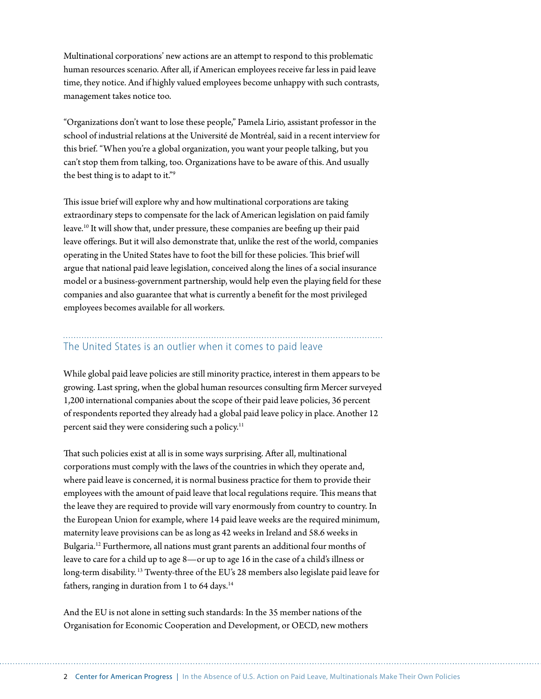Multinational corporations' new actions are an attempt to respond to this problematic human resources scenario. After all, if American employees receive far less in paid leave time, they notice. And if highly valued employees become unhappy with such contrasts, management takes notice too.

"Organizations don't want to lose these people," Pamela Lirio, assistant professor in the school of industrial relations at the Université de Montréal, said in a recent interview for this brief. "When you're a global organization, you want your people talking, but you can't stop them from talking, too. Organizations have to be aware of this. And usually the best thing is to adapt to it."9

This issue brief will explore why and how multinational corporations are taking extraordinary steps to compensate for the lack of American legislation on paid family leave.10 It will show that, under pressure, these companies are beefing up their paid leave offerings. But it will also demonstrate that, unlike the rest of the world, companies operating in the United States have to foot the bill for these policies. This brief will argue that national paid leave legislation, conceived along the lines of a social insurance model or a business-government partnership, would help even the playing field for these companies and also guarantee that what is currently a benefit for the most privileged employees becomes available for all workers.

## The United States is an outlier when it comes to paid leave

While global paid leave policies are still minority practice, interest in them appears to be growing. Last spring, when the global human resources consulting firm Mercer surveyed 1,200 international companies about the scope of their paid leave policies, 36 percent of respondents reported they already had a global paid leave policy in place. Another 12 percent said they were considering such a policy.<sup>11</sup>

That such policies exist at all is in some ways surprising. After all, multinational corporations must comply with the laws of the countries in which they operate and, where paid leave is concerned, it is normal business practice for them to provide their employees with the amount of paid leave that local regulations require. This means that the leave they are required to provide will vary enormously from country to country. In the European Union for example, where 14 paid leave weeks are the required minimum, maternity leave provisions can be as long as 42 weeks in Ireland and 58.6 weeks in Bulgaria.12 Furthermore, all nations must grant parents an additional four months of leave to care for a child up to age 8—or up to age 16 in the case of a child's illness or long-term disability.<sup>13</sup> Twenty-three of the EU's 28 members also legislate paid leave for fathers, ranging in duration from 1 to  $64$  days.<sup>14</sup>

And the EU is not alone in setting such standards: In the 35 member nations of the Organisation for Economic Cooperation and Development, or OECD, new mothers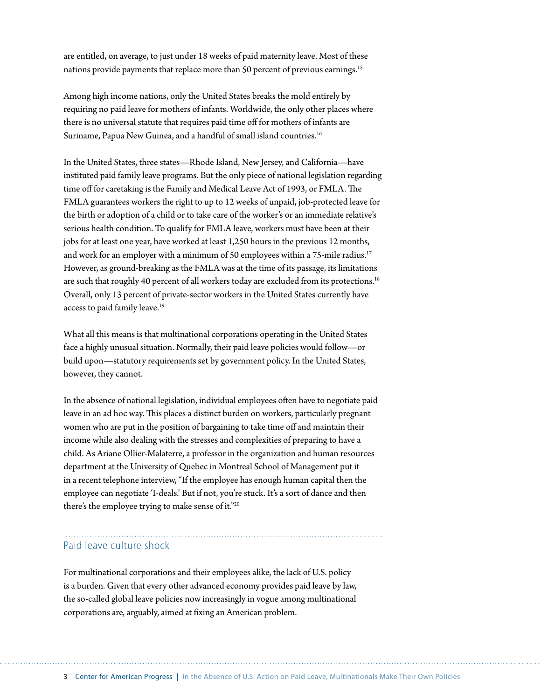are entitled, on average, to just under 18 weeks of paid maternity leave. Most of these nations provide payments that replace more than 50 percent of previous earnings.<sup>15</sup>

Among high income nations, only the United States breaks the mold entirely by requiring no paid leave for mothers of infants. Worldwide, the only other places where there is no universal statute that requires paid time off for mothers of infants are Suriname, Papua New Guinea, and a handful of small island countries.<sup>16</sup>

In the United States, three states—Rhode Island, New Jersey, and California—have instituted paid family leave programs. But the only piece of national legislation regarding time off for caretaking is the Family and Medical Leave Act of 1993, or FMLA. The FMLA guarantees workers the right to up to 12 weeks of unpaid, job-protected leave for the birth or adoption of a child or to take care of the worker's or an immediate relative's serious health condition. To qualify for FMLA leave, workers must have been at their jobs for at least one year, have worked at least 1,250 hours in the previous 12 months, and work for an employer with a minimum of 50 employees within a 75-mile radius.<sup>17</sup> However, as ground-breaking as the FMLA was at the time of its passage, its limitations are such that roughly 40 percent of all workers today are excluded from its protections.<sup>18</sup> Overall, only 13 percent of private-sector workers in the United States currently have access to paid family leave.<sup>19</sup>

What all this means is that multinational corporations operating in the United States face a highly unusual situation. Normally, their paid leave policies would follow—or build upon—statutory requirements set by government policy. In the United States, however, they cannot.

In the absence of national legislation, individual employees often have to negotiate paid leave in an ad hoc way. This places a distinct burden on workers, particularly pregnant women who are put in the position of bargaining to take time off and maintain their income while also dealing with the stresses and complexities of preparing to have a child. As Ariane Ollier-Malaterre, a professor in the organization and human resources department at the University of Quebec in Montreal School of Management put it in a recent telephone interview, "If the employee has enough human capital then the employee can negotiate 'I-deals.' But if not, you're stuck. It's a sort of dance and then there's the employee trying to make sense of it."<sup>20</sup>

### Paid leave culture shock

For multinational corporations and their employees alike, the lack of U.S. policy is a burden. Given that every other advanced economy provides paid leave by law, the so-called global leave policies now increasingly in vogue among multinational corporations are, arguably, aimed at fixing an American problem.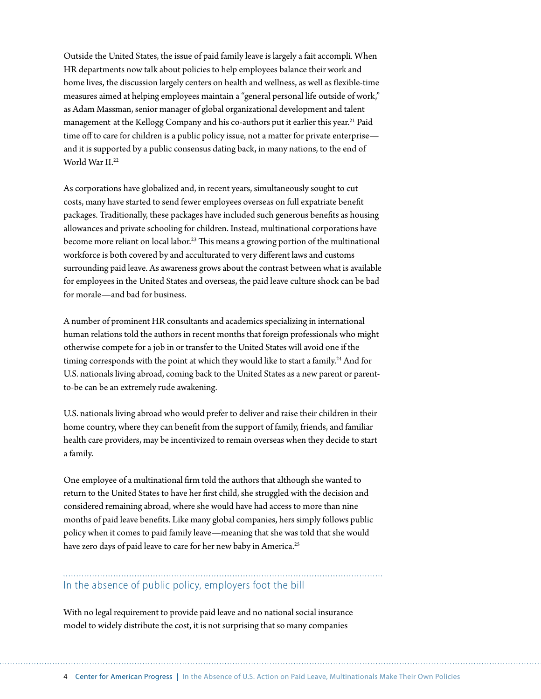Outside the United States, the issue of paid family leave is largely a fait accompli*.* When HR departments now talk about policies to help employees balance their work and home lives, the discussion largely centers on health and wellness, as well as flexible-time measures aimed at helping employees maintain a "general personal life outside of work," as Adam Massman, senior manager of global organizational development and talent management at the Kellogg Company and his co-authors put it earlier this year.<sup>21</sup> Paid time off to care for children is a public policy issue, not a matter for private enterprise and it is supported by a public consensus dating back, in many nations, to the end of World War II.22

As corporations have globalized and, in recent years, simultaneously sought to cut costs, many have started to send fewer employees overseas on full expatriate benefit packages. Traditionally, these packages have included such generous benefits as housing allowances and private schooling for children. Instead, multinational corporations have become more reliant on local labor.23 This means a growing portion of the multinational workforce is both covered by and acculturated to very different laws and customs surrounding paid leave. As awareness grows about the contrast between what is available for employees in the United States and overseas, the paid leave culture shock can be bad for morale—and bad for business.

A number of prominent HR consultants and academics specializing in international human relations told the authors in recent months that foreign professionals who might otherwise compete for a job in or transfer to the United States will avoid one if the timing corresponds with the point at which they would like to start a family.<sup>24</sup> And for U.S. nationals living abroad, coming back to the United States as a new parent or parentto-be can be an extremely rude awakening.

U.S. nationals living abroad who would prefer to deliver and raise their children in their home country, where they can benefit from the support of family, friends, and familiar health care providers, may be incentivized to remain overseas when they decide to start a family.

One employee of a multinational firm told the authors that although she wanted to return to the United States to have her first child, she struggled with the decision and considered remaining abroad, where she would have had access to more than nine months of paid leave benefits. Like many global companies, hers simply follows public policy when it comes to paid family leave—meaning that she was told that she would have zero days of paid leave to care for her new baby in America.<sup>25</sup>

## In the absence of public policy, employers foot the bill

With no legal requirement to provide paid leave and no national social insurance model to widely distribute the cost, it is not surprising that so many companies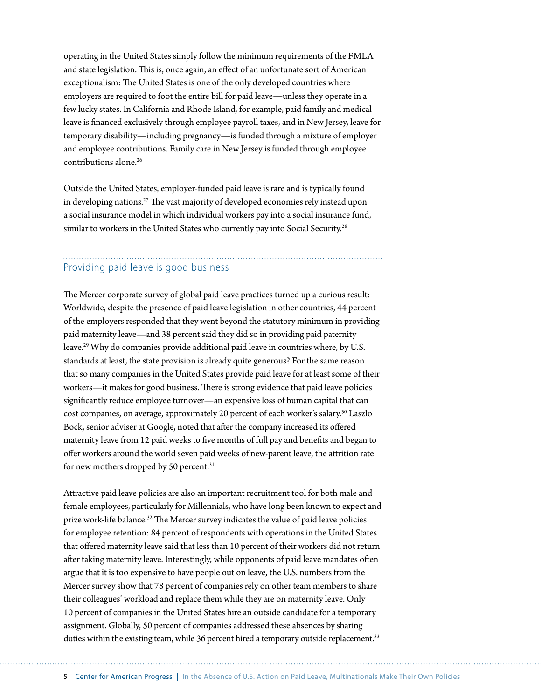operating in the United States simply follow the minimum requirements of the FMLA and state legislation. This is, once again, an effect of an unfortunate sort of American exceptionalism: The United States is one of the only developed countries where employers are required to foot the entire bill for paid leave—unless they operate in a few lucky states. In California and Rhode Island, for example, paid family and medical leave is financed exclusively through employee payroll taxes, and in New Jersey, leave for temporary disability—including pregnancy—is funded through a mixture of employer and employee contributions. Family care in New Jersey is funded through employee contributions alone.26

Outside the United States, employer-funded paid leave is rare and is typically found in developing nations.27 The vast majority of developed economies rely instead upon a social insurance model in which individual workers pay into a social insurance fund, similar to workers in the United States who currently pay into Social Security.<sup>28</sup>

## Providing paid leave is good business

The Mercer corporate survey of global paid leave practices turned up a curious result: Worldwide, despite the presence of paid leave legislation in other countries, 44 percent of the employers responded that they went beyond the statutory minimum in providing paid maternity leave—and 38 percent said they did so in providing paid paternity leave.29 Why do companies provide additional paid leave in countries where, by U.S. standards at least, the state provision is already quite generous? For the same reason that so many companies in the United States provide paid leave for at least some of their workers—it makes for good business. There is strong evidence that paid leave policies significantly reduce employee turnover—an expensive loss of human capital that can cost companies, on average, approximately 20 percent of each worker's salary.<sup>30</sup> Laszlo Bock, senior adviser at Google, noted that after the company increased its offered maternity leave from 12 paid weeks to five months of full pay and benefits and began to offer workers around the world seven paid weeks of new-parent leave, the attrition rate for new mothers dropped by 50 percent.<sup>31</sup>

Attractive paid leave policies are also an important recruitment tool for both male and female employees, particularly for Millennials, who have long been known to expect and prize work-life balance.<sup>32</sup> The Mercer survey indicates the value of paid leave policies for employee retention: 84 percent of respondents with operations in the United States that offered maternity leave said that less than 10 percent of their workers did not return after taking maternity leave. Interestingly, while opponents of paid leave mandates often argue that it is too expensive to have people out on leave, the U.S. numbers from the Mercer survey show that 78 percent of companies rely on other team members to share their colleagues' workload and replace them while they are on maternity leave. Only 10 percent of companies in the United States hire an outside candidate for a temporary assignment. Globally, 50 percent of companies addressed these absences by sharing duties within the existing team, while 36 percent hired a temporary outside replacement.<sup>33</sup>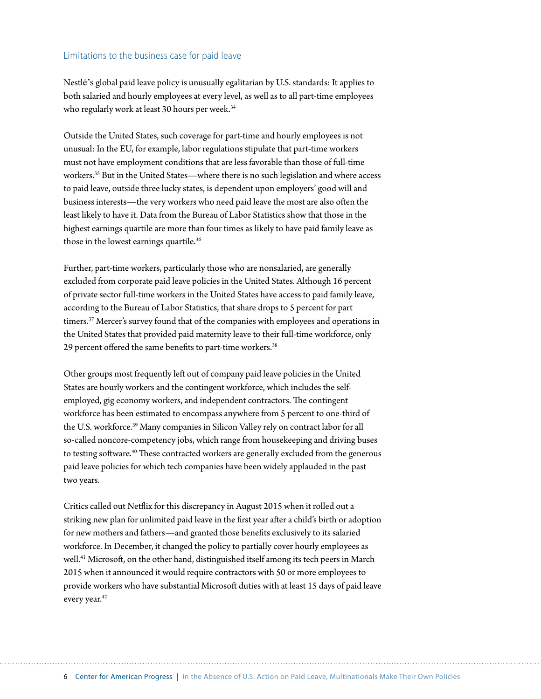#### Limitations to the business case for paid leave

Nestlé's global paid leave policy is unusually egalitarian by U.S. standards: It applies to both salaried and hourly employees at every level, as well as to all part-time employees who regularly work at least 30 hours per week.<sup>34</sup>

Outside the United States, such coverage for part-time and hourly employees is not unusual: In the EU, for example, labor regulations stipulate that part-time workers must not have employment conditions that are less favorable than those of full-time workers.<sup>35</sup> But in the United States—where there is no such legislation and where access to paid leave, outside three lucky states, is dependent upon employers' good will and business interests—the very workers who need paid leave the most are also often the least likely to have it. Data from the Bureau of Labor Statistics show that those in the highest earnings quartile are more than four times as likely to have paid family leave as those in the lowest earnings quartile.<sup>36</sup>

Further, part-time workers, particularly those who are nonsalaried, are generally excluded from corporate paid leave policies in the United States. Although 16 percent of private sector full-time workers in the United States have access to paid family leave, according to the Bureau of Labor Statistics, that share drops to 5 percent for part timers.<sup>37</sup> Mercer's survey found that of the companies with employees and operations in the United States that provided paid maternity leave to their full-time workforce, only 29 percent offered the same benefits to part-time workers.<sup>38</sup>

Other groups most frequently left out of company paid leave policies in the United States are hourly workers and the contingent workforce, which includes the selfemployed, gig economy workers, and independent contractors. The contingent workforce has been estimated to encompass anywhere from 5 percent to one-third of the U.S. workforce.39 Many companies in Silicon Valley rely on contract labor for all so-called noncore-competency jobs, which range from housekeeping and driving buses to testing software.<sup>40</sup> These contracted workers are generally excluded from the generous paid leave policies for which tech companies have been widely applauded in the past two years.

Critics called out Netflix for this discrepancy in August 2015 when it rolled out a striking new plan for unlimited paid leave in the first year after a child's birth or adoption for new mothers and fathers—and granted those benefits exclusively to its salaried workforce. In December, it changed the policy to partially cover hourly employees as well.<sup>41</sup> Microsoft, on the other hand, distinguished itself among its tech peers in March 2015 when it announced it would require contractors with 50 or more employees to provide workers who have substantial Microsoft duties with at least 15 days of paid leave every year.<sup>42</sup>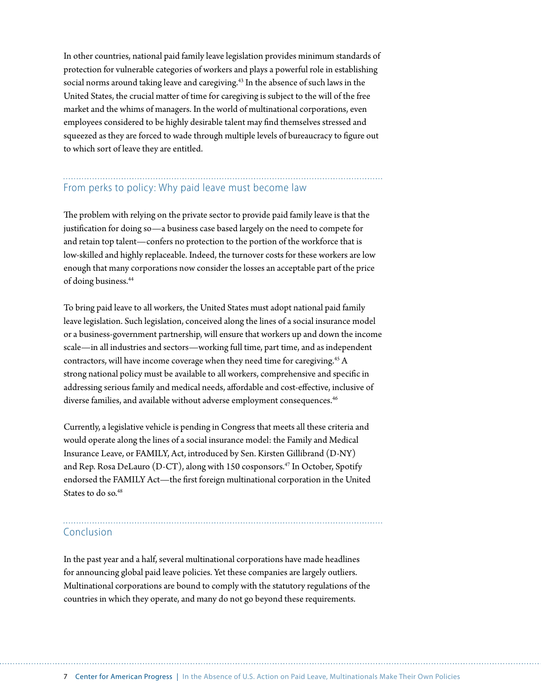In other countries, national paid family leave legislation provides minimum standards of protection for vulnerable categories of workers and plays a powerful role in establishing social norms around taking leave and caregiving.<sup>43</sup> In the absence of such laws in the United States, the crucial matter of time for caregiving is subject to the will of the free market and the whims of managers. In the world of multinational corporations, even employees considered to be highly desirable talent may find themselves stressed and squeezed as they are forced to wade through multiple levels of bureaucracy to figure out to which sort of leave they are entitled.

## From perks to policy: Why paid leave must become law

The problem with relying on the private sector to provide paid family leave is that the justification for doing so—a business case based largely on the need to compete for and retain top talent—confers no protection to the portion of the workforce that is low-skilled and highly replaceable. Indeed, the turnover costs for these workers are low enough that many corporations now consider the losses an acceptable part of the price of doing business.44

To bring paid leave to all workers, the United States must adopt national paid family leave legislation. Such legislation, conceived along the lines of a social insurance model or a business-government partnership, will ensure that workers up and down the income scale—in all industries and sectors—working full time, part time, and as independent contractors, will have income coverage when they need time for caregiving.45 A strong national policy must be available to all workers, comprehensive and specific in addressing serious family and medical needs, affordable and cost-effective, inclusive of diverse families, and available without adverse employment consequences.<sup>46</sup>

Currently, a legislative vehicle is pending in Congress that meets all these criteria and would operate along the lines of a social insurance model: the Family and Medical Insurance Leave, or FAMILY, Act, introduced by Sen. Kirsten Gillibrand (D-NY) and Rep. Rosa DeLauro (D-CT), along with 150 cosponsors.<sup>47</sup> In October, Spotify endorsed the FAMILY Act—the first foreign multinational corporation in the United States to do so.<sup>48</sup>

#### Conclusion

In the past year and a half, several multinational corporations have made headlines for announcing global paid leave policies. Yet these companies are largely outliers. Multinational corporations are bound to comply with the statutory regulations of the countries in which they operate, and many do not go beyond these requirements.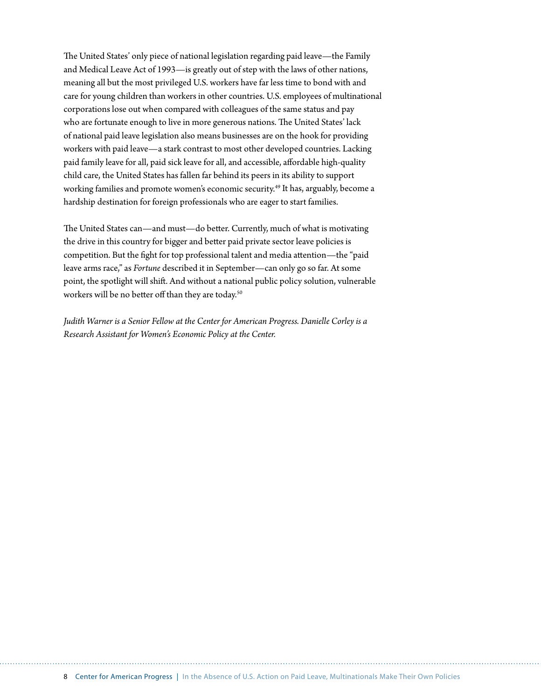The United States' only piece of national legislation regarding paid leave—the Family and Medical Leave Act of 1993—is greatly out of step with the laws of other nations, meaning all but the most privileged U.S. workers have far less time to bond with and care for young children than workers in other countries. U.S. employees of multinational corporations lose out when compared with colleagues of the same status and pay who are fortunate enough to live in more generous nations. The United States' lack of national paid leave legislation also means businesses are on the hook for providing workers with paid leave—a stark contrast to most other developed countries. Lacking paid family leave for all, paid sick leave for all, and accessible, affordable high-quality child care, the United States has fallen far behind its peers in its ability to support working families and promote women's economic security.<sup>49</sup> It has, arguably, become a hardship destination for foreign professionals who are eager to start families.

The United States can—and must—do better. Currently, much of what is motivating the drive in this country for bigger and better paid private sector leave policies is competition. But the fight for top professional talent and media attention—the "paid leave arms race," as *Fortune* described it in September—can only go so far. At some point, the spotlight will shift. And without a national public policy solution, vulnerable workers will be no better off than they are today.<sup>50</sup>

*Judith Warner is a Senior Fellow at the Center for American Progress. Danielle Corley is a Research Assistant for Women's Economic Policy at the Center.*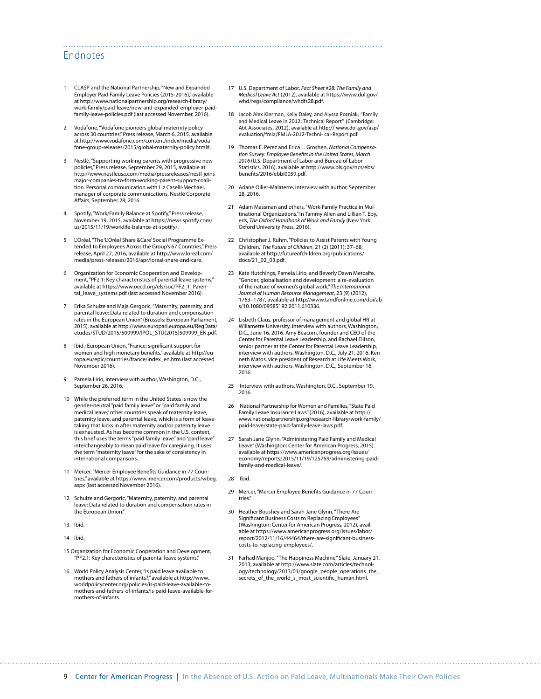#### Endnotes

- 1 CLASP and the National Partnership, "New and Expanded Employer Paid Family Leave Policies (2015-2016)," available at [http://www.nationalpartnership.org/research-library/](http://www.nationalpartnership.org/research-library/work-family/paid-leave/new-and-expanded-employer-paid-family-leave-policies.pdf) [work-family/paid-leave/new-and-expanded-employer-paid](http://www.nationalpartnership.org/research-library/work-family/paid-leave/new-and-expanded-employer-paid-family-leave-policies.pdf)[family-leave-policies.pdf](http://www.nationalpartnership.org/research-library/work-family/paid-leave/new-and-expanded-employer-paid-family-leave-policies.pdf) (last accessed November, 2016).
- 2 Vodafone, "Vodafone pioneers global maternity policy across 30 countries," Press release, March 6, 2015, available at [http://www.vodafone.com/content/index/media/voda](http://www.vodafone.com/content/index/media/vodafone-group-releases/2015/global-maternity-policy.html)[fone-group-releases/2015/global-maternity-policy.html#](http://www.vodafone.com/content/index/media/vodafone-group-releases/2015/global-maternity-policy.html).
- 3 Nestlé, "Supporting working parents with progressive new policies," Press release, September 29, 2015, available at http://www.nestleusa.com/media/pressreleases/nestl-joinsmajor-companies-to-form-working-parent-support-coalition. Personal communication with Liz Caselli-Mechael, manager of corporate communications, Nestlé Corporate Affairs, September 28, 2016.
- Spotify, "Work/Family Balance at Spotify," Press release, November 19, 2015, available at [https://news.spotify.com/](https://news.spotify.com/us/2015/11/19/worklife-balance-at-spotify/) [us/2015/11/19/worklife-balance-at-spotify/.](https://news.spotify.com/us/2015/11/19/worklife-balance-at-spotify/)
- L'Oréal, "The 'L'Oréal Share &Care' Social Programme Extended to Employees Across the Group's 67 Countries," Press release, April 27, 2016, available at [http://www.loreal.com/](http://www.loreal.com/media/press-releases/2016/apr/loreal-share-and-care) [media/press-releases/2016/apr/loreal-share-and-care.](http://www.loreal.com/media/press-releases/2016/apr/loreal-share-and-care)
- 6 Organization for Economic Cooperation and Development, "PF2.1: Key characteristics of parental leave systems," available at [https://www.oecd.org/els/soc/PF2\\_1\\_Paren](https://www.oecd.org/els/soc/PF2_1_Parental_leave_systems.pdf)[tal\\_leave\\_systems.pdf](https://www.oecd.org/els/soc/PF2_1_Parental_leave_systems.pdf) (last accessed November 2016).
- 7 Erika Schulze and Maja Gergoric, "Maternity, paternity, and parental leave: Data related to duration and compensation rates in the European Union" (Brussels: European Parliament, 2015), available at http://www.europarl.europa.eu/RegData/ etudes/STUD/2015/509999/IPOL\_STU(2015)509999\_EN.pdf.
- 8 Ibid.; European Union, "France: significant support for women and high monetary benefits," available at [http://eu](http://europa.eu/epic/countries/france/index_en.htm)[ropa.eu/epic/countries/france/index\\_en.htm](http://europa.eu/epic/countries/france/index_en.htm) (last accessed November 2016).
- 9 Pamela Lirio, interview with author, Washington, D.C., September 26, 2016.
- 10 While the preferred term in the United States is now the gender-neutral "paid family leave" or "paid family and medical leave," other countries speak of maternity leave, paternity leave, and parental leave, which is a form of leavetaking that kicks in after maternity and/or paternity leave is exhausted. As has become common in the U.S. context, this brief uses the terms "paid family leave" and "paid leave" interchangeably to mean paid leave for caregiving. It uses the term "maternity leave" for the sake of consistency in international comparisons.
- 11 Mercer, "Mercer Employee Benefits Guidance in 77 Countries," available at [https://www.imercer.com/products/wbeg.](https://www.imercer.com/products/wbeg.aspx) [aspx](https://www.imercer.com/products/wbeg.aspx) (last accessed November 2016).
- 12 Schulze and Gergoric, "Maternity, paternity, and parental leave: Data related to duration and compensation rates in the European Union."
- 13 Ibid.
- 14 Ibid.
- 15 Organization for Economic Cooperation and Development, "PF2.1: Key characteristics of parental leave systems."
- 16 World Policy Analysis Center, "Is paid leave available to mothers and fathers of infants?," available at http://www. worldpolicycenter.org/policies/is-paid-leave-available-tomothers-and-fathers-of-infants/is-paid-leave-available-formothers-of-infants.

17 U.S. Department of Labor, *Fact Sheet #28: The Family and Medical Leave Act* (2012), available at [https://www.dol.gov/](https://www.dol.gov/whd/regs/compliance/whdfs28.pdf) [whd/regs/compliance/whdfs28.pdf.](https://www.dol.gov/whd/regs/compliance/whdfs28.pdf)

- 18 Jacob Alex Klerman, Kelly Daley, and Alyssa Pozniak, "Family and Medical Leave in 2012: Technical Report" (Cambridge: Abt Associates, 2012), available at http:// www.dol.gov/asp/ evaluation/fmla/FMLA-2012-Techni- cal-Report.pdf.
- 19 Thomas E. Perez and Erica L. Groshen, *National Compensation Survey: Employee Benefits in the United States, March 2016* (U.S. Department of Labor and Bureau of Labor Statistics, 2016), available at [http://www.bls.gov/ncs/ebs/](http://www.bls.gov/ncs/ebs/benefits/2016/ebbl0059.pdf) [benefits/2016/ebbl0059.pdf.](http://www.bls.gov/ncs/ebs/benefits/2016/ebbl0059.pdf)
- 20 Ariane Ollier-Malaterre, interview with author, September 28, 2016.
- 21 Adam Massman and others, "Work-Family Practice in Multinational Organizations." In Tammy Allen and Lillian T. Eby, eds, *The Oxford Handbook of Work and Family* (New York: Oxford University Press, 2016).
- 22 Christopher J. Ruhm, "Policies to Assist Parents with Young Children," *The Future of Children*, 21 (2) (2011): 37–68, available at [http://futureofchildren.org/publications/](http://futureofchildren.org/publications/docs/21_02_03.pdf) [docs/21\\_02\\_03.pdf](http://futureofchildren.org/publications/docs/21_02_03.pdf).
- 23 Kate Hutchings, Pamela Lirio, and Beverly Dawn Metcalfe, "Gender, globalisation and development: a re-evaluation of the nature of women's global work," *The International Journal of Human Resource Management*, 23 (9) (2012), 1763–1787, available at http://www.tandfonline.com/doi/ab s/10.1080/09585192.2011.610336.
- 24 Lisbeth Claus, professor of management and global HR at Willamette University, interview with authors, Washington, D.C., June 16, 2016. Amy Beacom, founder and CEO of the Center for Parental Leave Leadership, and Rachael Ellison, senior partner at the Center for Parental Leave Leadership, interview with authors, Washington, D.C., July 21, 2016. Kenneth Matos, vice president of Research at Life Meets Work, interview with authors, Washington, D.C., September 16, 2016.
- 25 Interview with authors, Washington, D.C., September 19, 2016.
- 26 National Partnership for Women and Families, "State Paid Family Leave Insurance Laws" (2016), available at [http://](http://www.nationalpartnership.org/research-library/work-family/paid-leave/state-paid-family-leave-laws.pdf) [www.nationalpartnership.org/research-library/work-family/](http://www.nationalpartnership.org/research-library/work-family/paid-leave/state-paid-family-leave-laws.pdf) [paid-leave/state-paid-family-leave-laws.pdf](http://www.nationalpartnership.org/research-library/work-family/paid-leave/state-paid-family-leave-laws.pdf).
- 27 Sarah Jane Glynn, "Administering Paid Family and Medical Leave" (Washington: Center for American Progress, 2015) available at https://www.americanprogress.org/issues/ economy/reports/2015/11/19/125769/administering-paidfamily-and-medical-leave/.

#### 28 Ibid.

- 29 Mercer, "Mercer Employee Benefits Guidance in 77 Countries."
- 30 Heather Boushey and Sarah Jane Glynn, "There Are Significant Business Costs to Replacing Employees" (Washington: Center for American Progress, 2012), available at [https://www.americanprogress.org/issues/labor/](https://www.americanprogress.org/issues/labor/report/2012/11/16/44464/there-are-significant-business-costs-to-replacing-employees/) [report/2012/11/16/44464/there-are-significant-business](https://www.americanprogress.org/issues/labor/report/2012/11/16/44464/there-are-significant-business-costs-to-replacing-employees/)[costs-to-replacing-employees/.](https://www.americanprogress.org/issues/labor/report/2012/11/16/44464/there-are-significant-business-costs-to-replacing-employees/)
- 31 Farhad Manjoo, "The Happiness Machine," Slate, January 21, 2013, available at [http://www.slate.com/articles/technol](http://www.slate.com/articles/technology/technology/2013/01/google_people_operations_the_secrets_of_the_world_s_most_scientific_human.html)[ogy/technology/2013/01/google\\_people\\_operations\\_the\\_](http://www.slate.com/articles/technology/technology/2013/01/google_people_operations_the_secrets_of_the_world_s_most_scientific_human.html) [secrets\\_of\\_the\\_world\\_s\\_most\\_scientific\\_human.html](http://www.slate.com/articles/technology/technology/2013/01/google_people_operations_the_secrets_of_the_world_s_most_scientific_human.html).